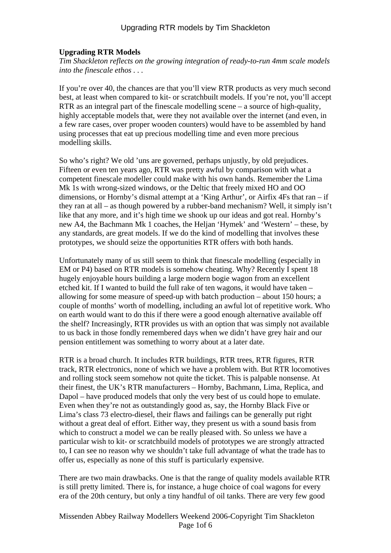## **Upgrading RTR Models**

*Tim Shackleton reflects on the growing integration of ready-to-run 4mm scale models into the finescale ethos . . .* 

If you're over 40, the chances are that you'll view RTR products as very much second best, at least when compared to kit- or scratchbuilt models. If you're not, you'll accept RTR as an integral part of the finescale modelling scene – a source of high-quality, highly acceptable models that, were they not available over the internet (and even, in a few rare cases, over proper wooden counters) would have to be assembled by hand using processes that eat up precious modelling time and even more precious modelling skills.

So who's right? We old 'uns are governed, perhaps unjustly, by old prejudices. Fifteen or even ten years ago, RTR was pretty awful by comparison with what a competent finescale modeller could make with his own hands. Remember the Lima Mk 1s with wrong-sized windows, or the Deltic that freely mixed HO and OO dimensions, or Hornby's dismal attempt at a 'King Arthur', or Airfix 4Fs that ran – if they ran at all – as though powered by a rubber-band mechanism? Well, it simply isn't like that any more, and it's high time we shook up our ideas and got real. Hornby's new A4, the Bachmann Mk 1 coaches, the Heljan 'Hymek' and 'Western' – these, by any standards, are great models. If we do the kind of modelling that involves these prototypes, we should seize the opportunities RTR offers with both hands.

Unfortunately many of us still seem to think that finescale modelling (especially in EM or P4) based on RTR models is somehow cheating. Why? Recently I spent 18 hugely enjoyable hours building a large modern bogie wagon from an excellent etched kit. If I wanted to build the full rake of ten wagons, it would have taken – allowing for some measure of speed-up with batch production – about 150 hours; a couple of months' worth of modelling, including an awful lot of repetitive work. Who on earth would want to do this if there were a good enough alternative available off the shelf? Increasingly, RTR provides us with an option that was simply not available to us back in those fondly remembered days when we didn't have grey hair and our pension entitlement was something to worry about at a later date.

RTR is a broad church. It includes RTR buildings, RTR trees, RTR figures, RTR track, RTR electronics, none of which we have a problem with. But RTR locomotives and rolling stock seem somehow not quite the ticket. This is palpable nonsense. At their finest, the UK's RTR manufacturers – Hornby, Bachmann, Lima, Replica, and Dapol – have produced models that only the very best of us could hope to emulate. Even when they're not as outstandingly good as, say, the Hornby Black Five or Lima's class 73 electro-diesel, their flaws and failings can be generally put right without a great deal of effort. Either way, they present us with a sound basis from which to construct a model we can be really pleased with. So unless we have a particular wish to kit- or scratchbuild models of prototypes we are strongly attracted to, I can see no reason why we shouldn't take full advantage of what the trade has to offer us, especially as none of this stuff is particularly expensive.

There are two main drawbacks. One is that the range of quality models available RTR is still pretty limited. There is, for instance, a huge choice of coal wagons for every era of the 20th century, but only a tiny handful of oil tanks. There are very few good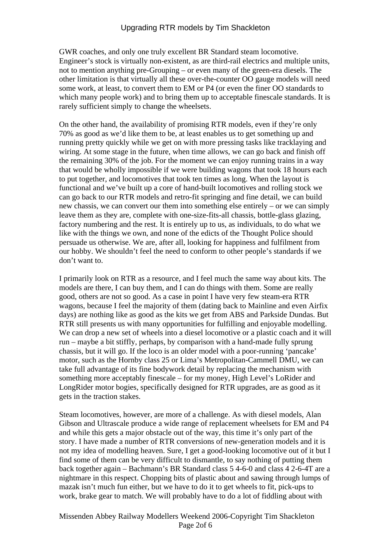GWR coaches, and only one truly excellent BR Standard steam locomotive. Engineer's stock is virtually non-existent, as are third-rail electrics and multiple units, not to mention anything pre-Grouping – or even many of the green-era diesels. The other limitation is that virtually all these over-the-counter OO gauge models will need some work, at least, to convert them to EM or P4 (or even the finer OO standards to which many people work) and to bring them up to acceptable finescale standards. It is rarely sufficient simply to change the wheelsets.

On the other hand, the availability of promising RTR models, even if they're only 70% as good as we'd like them to be, at least enables us to get something up and running pretty quickly while we get on with more pressing tasks like tracklaying and wiring. At some stage in the future, when time allows, we can go back and finish off the remaining 30% of the job. For the moment we can enjoy running trains in a way that would be wholly impossible if we were building wagons that took 18 hours each to put together, and locomotives that took ten times as long. When the layout is functional and we've built up a core of hand-built locomotives and rolling stock we can go back to our RTR models and retro-fit springing and fine detail, we can build new chassis, we can convert our them into something else entirely – or we can simply leave them as they are, complete with one-size-fits-all chassis, bottle-glass glazing, factory numbering and the rest. It is entirely up to us, as individuals, to do what we like with the things we own, and none of the edicts of the Thought Police should persuade us otherwise. We are, after all, looking for happiness and fulfilment from our hobby. We shouldn't feel the need to conform to other people's standards if we don't want to.

I primarily look on RTR as a resource, and I feel much the same way about kits. The models are there, I can buy them, and I can do things with them. Some are really good, others are not so good. As a case in point I have very few steam-era RTR wagons, because I feel the majority of them (dating back to Mainline and even Airfix days) are nothing like as good as the kits we get from ABS and Parkside Dundas. But RTR still presents us with many opportunities for fulfilling and enjoyable modelling. We can drop a new set of wheels into a diesel locomotive or a plastic coach and it will run – maybe a bit stiffly, perhaps, by comparison with a hand-made fully sprung chassis, but it will go. If the loco is an older model with a poor-running 'pancake' motor, such as the Hornby class 25 or Lima's Metropolitan-Cammell DMU, we can take full advantage of its fine bodywork detail by replacing the mechanism with something more acceptably finescale – for my money, High Level's LoRider and LongRider motor bogies, specifically designed for RTR upgrades, are as good as it gets in the traction stakes.

Steam locomotives, however, are more of a challenge. As with diesel models, Alan Gibson and Ultrascale produce a wide range of replacement wheelsets for EM and P4 and while this gets a major obstacle out of the way, this time it's only part of the story. I have made a number of RTR conversions of new-generation models and it is not my idea of modelling heaven. Sure, I get a good-looking locomotive out of it but I find some of them can be very difficult to dismantle, to say nothing of putting them back together again – Bachmann's BR Standard class 5 4-6-0 and class 4 2-6-4T are a nightmare in this respect. Chopping bits of plastic about and sawing through lumps of mazak isn't much fun either, but we have to do it to get wheels to fit, pick-ups to work, brake gear to match. We will probably have to do a lot of fiddling about with

Missenden Abbey Railway Modellers Weekend 2006-Copyright Tim Shackleton Page 2of 6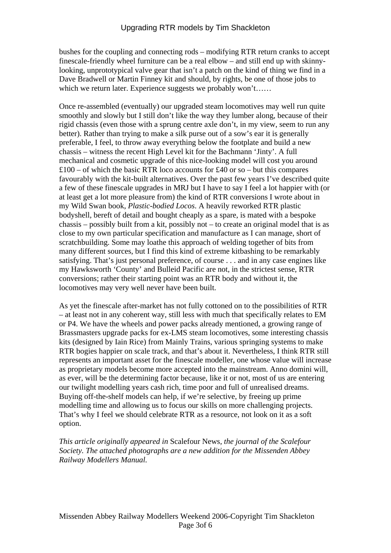bushes for the coupling and connecting rods – modifying RTR return cranks to accept finescale-friendly wheel furniture can be a real elbow – and still end up with skinnylooking, unprototypical valve gear that isn't a patch on the kind of thing we find in a Dave Bradwell or Martin Finney kit and should, by rights, be one of those jobs to which we return later. Experience suggests we probably won't……

Once re-assembled (eventually) our upgraded steam locomotives may well run quite smoothly and slowly but I still don't like the way they lumber along, because of their rigid chassis (even those with a sprung centre axle don't, in my view, seem to run any better). Rather than trying to make a silk purse out of a sow's ear it is generally preferable, I feel, to throw away everything below the footplate and build a new chassis – witness the recent High Level kit for the Bachmann 'Jinty'. A full mechanical and cosmetic upgrade of this nice-looking model will cost you around  $£100 - of which the basic RTR loco accounts for £40 or so - but this compares$ favourably with the kit-built alternatives. Over the past few years I've described quite a few of these finescale upgrades in MRJ but I have to say I feel a lot happier with (or at least get a lot more pleasure from) the kind of RTR conversions I wrote about in my Wild Swan book, *Plastic-bodied Locos*. A heavily reworked RTR plastic bodyshell, bereft of detail and bought cheaply as a spare, is mated with a bespoke chassis – possibly built from a kit, possibly not – to create an original model that is as close to my own particular specification and manufacture as I can manage, short of scratchbuilding. Some may loathe this approach of welding together of bits from many different sources, but I find this kind of extreme kitbashing to be remarkably satisfying. That's just personal preference, of course . . . and in any case engines like my Hawksworth 'County' and Bulleid Pacific are not, in the strictest sense, RTR conversions; rather their starting point was an RTR body and without it, the locomotives may very well never have been built.

As yet the finescale after-market has not fully cottoned on to the possibilities of RTR – at least not in any coherent way, still less with much that specifically relates to EM or P4. We have the wheels and power packs already mentioned, a growing range of Brassmasters upgrade packs for ex-LMS steam locomotives, some interesting chassis kits (designed by Iain Rice) from Mainly Trains, various springing systems to make RTR bogies happier on scale track, and that's about it. Nevertheless, I think RTR still represents an important asset for the finescale modeller, one whose value will increase as proprietary models become more accepted into the mainstream. Anno domini will, as ever, will be the determining factor because, like it or not, most of us are entering our twilight modelling years cash rich, time poor and full of unrealised dreams. Buying off-the-shelf models can help, if we're selective, by freeing up prime modelling time and allowing us to focus our skills on more challenging projects. That's why I feel we should celebrate RTR as a resource, not look on it as a soft option.

*This article originally appeared in* Scalefour News*, the journal of the Scalefour Society. The attached photographs are a new addition for the Missenden Abbey Railway Modellers Manual.*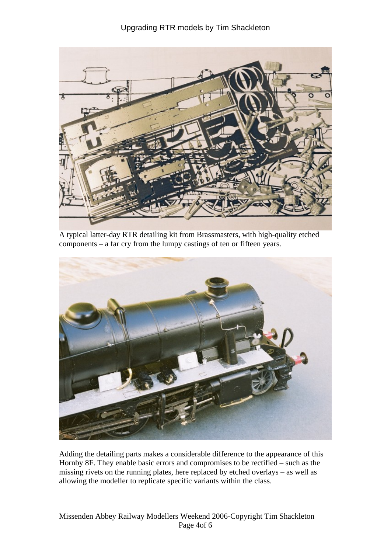

A typical latter-day RTR detailing kit from Brassmasters, with high-quality etched components – a far cry from the lumpy castings of ten or fifteen years.



Adding the detailing parts makes a considerable difference to the appearance of this Hornby 8F. They enable basic errors and compromises to be rectified – such as the missing rivets on the running plates, here replaced by etched overlays – as well as allowing the modeller to replicate specific variants within the class.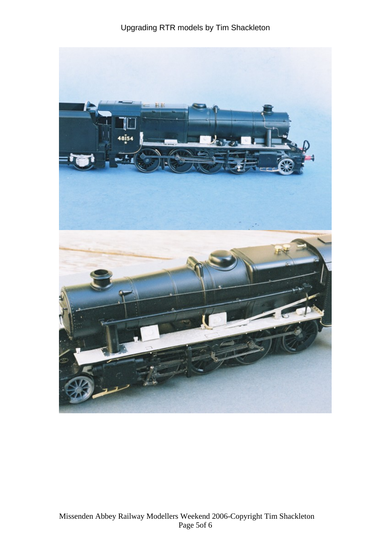Upgrading RTR models by Tim Shackleton